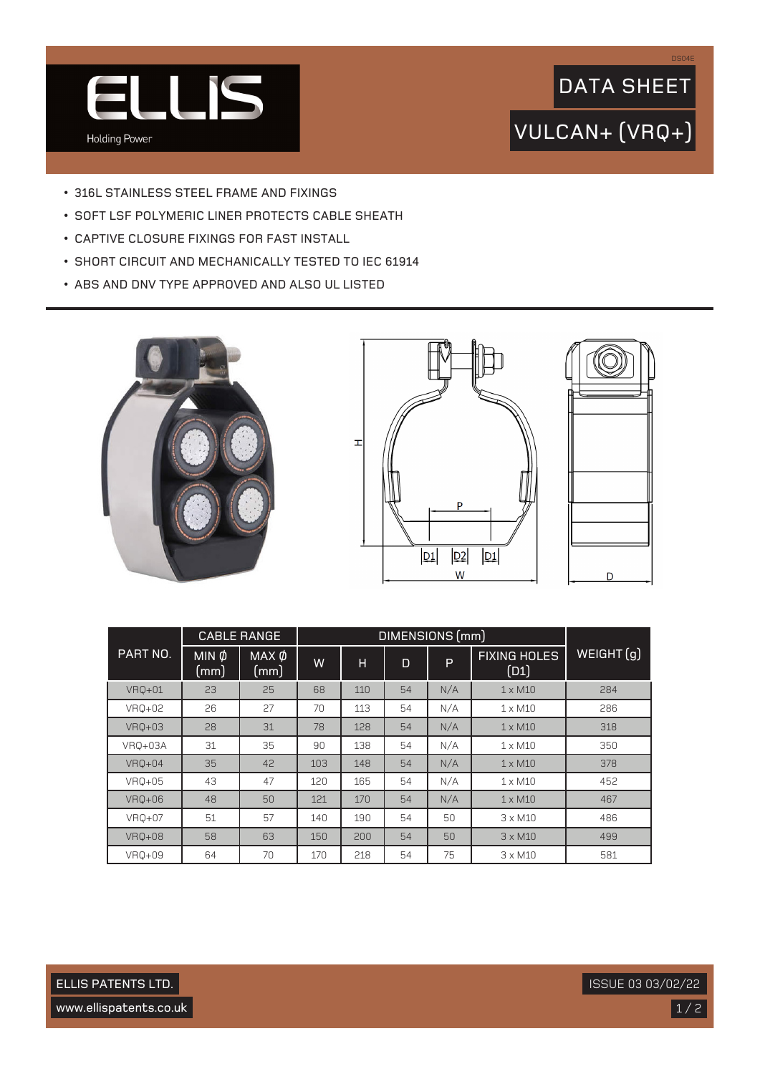

## VULCAN+ (VRQ+) DATA SHEET

DS04E

- 316L STAINLESS STEEL FRAME AND FIXINGS
- SOFT LSF POLYMERIC LINER PROTECTS CABLE SHEATH
- CAPTIVE CLOSURE FIXINGS FOR FAST INSTALL
- SHORT CIRCUIT AND MECHANICALLY TESTED TO IEC 61914
- ABS AND DNV TYPE APPROVED AND ALSO UL LISTED







|               | DIMENSIONS (mm)<br><b>CABLE RANGE</b> |                           |     |     |    |     |                             |           |
|---------------|---------------------------------------|---------------------------|-----|-----|----|-----|-----------------------------|-----------|
| PART NO.      | $MIN$ $\phi$<br>(mm)                  | MAX Ø<br>$\pmb{\pmod{m}}$ | W   | н   | D  | P   | <b>FIXING HOLES</b><br>(D1) | WEIGHT(g) |
| <b>VRQ+01</b> | 23                                    | 25                        | 68  | 110 | 54 | N/A | $1 \times M10$              | 284       |
| VRQ+02        | 26                                    | 27                        | 70  | 113 | 54 | N/A | $1 \times M10$              | 286       |
| VRQ+03        | 28                                    | 31                        | 78  | 128 | 54 | N/A | $1 \times M10$              | 318       |
| VRQ+03A       | 31                                    | 35                        | 90  | 138 | 54 | N/A | $1 \times M10$              | 350       |
| VR0+04        | 35                                    | 42                        | 103 | 148 | 54 | N/A | $1 \times M10$              | 378       |
| VRQ+05        | 43                                    | 47                        | 120 | 165 | 54 | N/A | $1 \times M10$              | 452       |
| VRQ+06        | 48                                    | 50                        | 121 | 170 | 54 | N/A | $1 \times M10$              | 467       |
| VRQ+07        | 51                                    | 57                        | 140 | 190 | 54 | 50  | $3 \times M10$              | 486       |
| <b>VRQ+08</b> | 58                                    | 63                        | 150 | 200 | 54 | 50  | $3 \times M10$              | 499       |
| VR0+09        | 64                                    | 70                        | 170 | 218 | 54 | 75  | $3 \times M10$              | 581       |